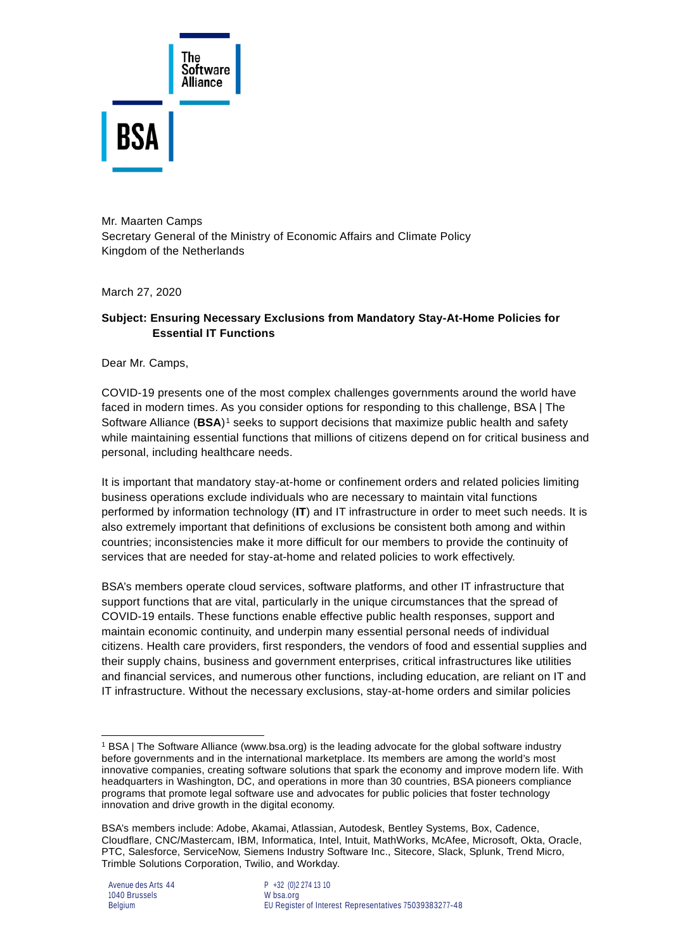

Mr. Maarten Camps Secretary General of the Ministry of Economic Affairs and Climate Policy Kingdom of the Netherlands

March 27, 2020

## **Subject: Ensuring Necessary Exclusions from Mandatory Stay-At-Home Policies for Essential IT Functions**

Dear Mr. Camps,

COVID-19 presents one of the most complex challenges governments around the world have faced in modern times. As you consider options for responding to this challenge, BSA | The Software Alliance (**BSA**)[1](#page-0-0) seeks to support decisions that maximize public health and safety while maintaining essential functions that millions of citizens depend on for critical business and personal, including healthcare needs.

It is important that mandatory stay-at-home or confinement orders and related policies limiting business operations exclude individuals who are necessary to maintain vital functions performed by information technology (**IT**) and IT infrastructure in order to meet such needs. It is also extremely important that definitions of exclusions be consistent both among and within countries; inconsistencies make it more difficult for our members to provide the continuity of services that are needed for stay-at-home and related policies to work effectively.

BSA's members operate cloud services, software platforms, and other IT infrastructure that support functions that are vital, particularly in the unique circumstances that the spread of COVID-19 entails. These functions enable effective public health responses, support and maintain economic continuity, and underpin many essential personal needs of individual citizens. Health care providers, first responders, the vendors of food and essential supplies and their supply chains, business and government enterprises, critical infrastructures like utilities and financial services, and numerous other functions, including education, are reliant on IT and IT infrastructure. Without the necessary exclusions, stay-at-home orders and similar policies

<span id="page-0-0"></span><sup>1</sup> BSA | The Software Alliance (www.bsa.org) is the leading advocate for the global software industry before governments and in the international marketplace. Its members are among the world's most innovative companies, creating software solutions that spark the economy and improve modern life. With headquarters in Washington, DC, and operations in more than 30 countries, BSA pioneers compliance programs that promote legal software use and advocates for public policies that foster technology innovation and drive growth in the digital economy.

BSA's members include: Adobe, Akamai, Atlassian, Autodesk, Bentley Systems, Box, Cadence, Cloudflare, CNC/Mastercam, IBM, Informatica, Intel, Intuit, MathWorks, McAfee, Microsoft, Okta, Oracle, PTC, Salesforce, ServiceNow, Siemens Industry Software Inc., Sitecore, Slack, Splunk, Trend Micro, Trimble Solutions Corporation, Twilio, and Workday.